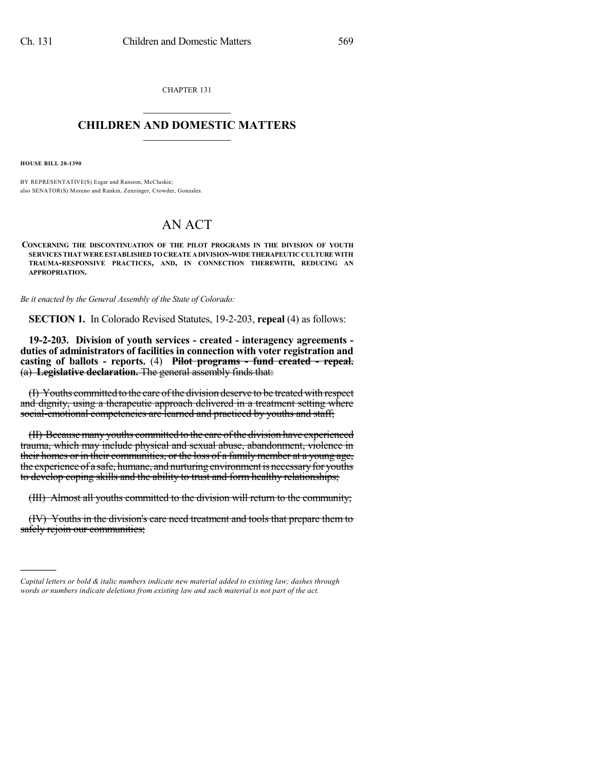CHAPTER 131  $\overline{\phantom{a}}$  . The set of the set of the set of the set of the set of the set of the set of the set of the set of the set of the set of the set of the set of the set of the set of the set of the set of the set of the set o

## **CHILDREN AND DOMESTIC MATTERS**  $\_$

**HOUSE BILL 20-1390**

)))))

BY REPRESENTATIVE(S) Esgar and Ransom, McCluskie; also SENATOR(S) Moreno and Rankin, Zenzinger, Crowder, Gonzales.

## AN ACT

**CONCERNING THE DISCONTINUATION OF THE PILOT PROGRAMS IN THE DIVISION OF YOUTH SERVICES THATWEREESTABLISHED TOCREATE ADIVISION-WIDETHERAPEUTIC CULTUREWITH TRAUMA-RESPONSIVE PRACTICES, AND, IN CONNECTION THEREWITH, REDUCING AN APPROPRIATION.**

*Be it enacted by the General Assembly of the State of Colorado:*

**SECTION 1.** In Colorado Revised Statutes, 19-2-203, **repeal** (4) as follows:

**19-2-203. Division of youth services - created - interagency agreements duties of administrators of facilities in connection with voter registration and casting of ballots - reports.** (4) **Pilot programs - fund created - repeal.** (a) **Legislative declaration.** The general assembly finds that:

(I) Youths committed to the care ofthe division deserve to be treated with respect and dignity, using a therapeutic approach delivered in a treatment setting where social-emotional competencies are learned and practiced by youths and staff;

(II) Because many youths committed to the care of the division have experienced trauma, which may include physical and sexual abuse, abandonment, violence in their homes or in their communities, or the loss of a family member at a young age, the experience of a safe, humane, and nurturing environment is necessary for youths to develop coping skills and the ability to trust and form healthy relationships;

(III) Almost all youths committed to the division will return to the community;

(IV) Youths in the division's care need treatment and tools that prepare them to safely rejoin our communities;

*Capital letters or bold & italic numbers indicate new material added to existing law; dashes through words or numbers indicate deletions from existing law and such material is not part of the act.*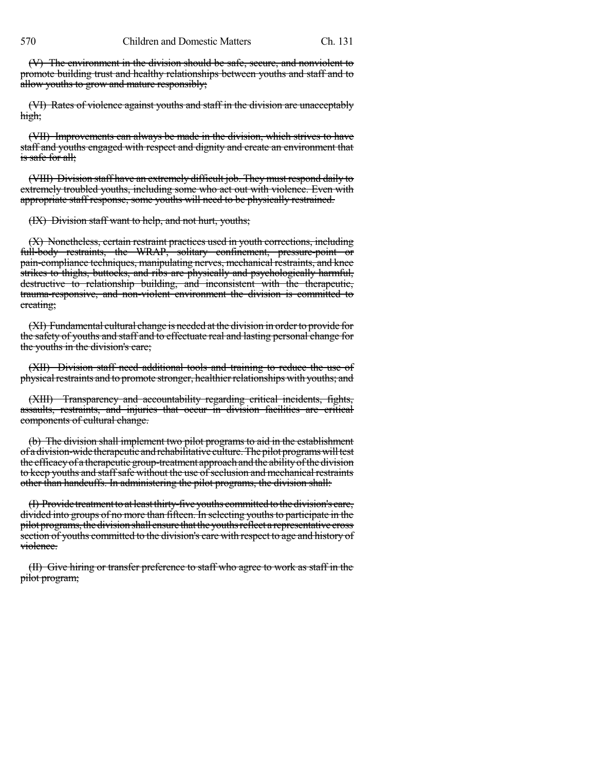(V) The environment in the division should be safe, secure, and nonviolent to promote building trust and healthy relationships between youths and staff and to allow youths to grow and mature responsibly;

(VI) Rates of violence against youths and staff in the division are unacceptably high;

(VII) Improvements can always be made in the division, which strives to have staff and youths engaged with respect and dignity and create an environment that is safe for all;

(VIII) Division staff have an extremely difficult job. They must respond daily to extremely troubled youths, including some who act out with violence. Even with appropriate staff response, some youths will need to be physically restrained.

(IX) Division staff want to help, and not hurt, youths;

(X) Nonetheless, certain restraint practices used in youth corrections, including full-body restraints, the WRAP, solitary confinement, pressure-point or pain-compliance techniques, manipulating nerves, mechanical restraints, and knee strikes to thighs, buttocks, and ribs are physically and psychologically harmful, destructive to relationship building, and inconsistent with the therapeutic, trauma-responsive, and non-violent environment the division is committed to creating;

(XI) Fundamental cultural change is needed at the division in orderto provide for the safety of youths and staff and to effectuate real and lasting personal change for the youths in the division's care;

(XII) Division staff need additional tools and training to reduce the use of physical restraints and to promote stronger, healthier relationships with youths; and

(XIII) Transparency and accountability regarding critical incidents, fights, assaults, restraints, and injuries that occur in division facilities are critical components of cultural change.

(b) The division shall implement two pilot programs to aid in the establishment of a division-wide therapeutic and rehabilitative culture. The pilot programs will test the efficacyof a therapeutic group-treatment approach and the abilityofthe division to keep youths and staff safe without the use of seclusion and mechanical restraints other than handcuffs. In administering the pilot programs, the division shall:

(I) Provide treatment to at least thirty-five youths committed to the division's care, divided into groups of no more than fifteen. In selecting youthsto participate in the pilot programs,thedivisionshall ensure thattheyouthsreflect a representative cross section of youths committed to the division's care with respect to age and history of violence.

(II) Give hiring or transfer preference to staff who agree to work as staff in the pilot program;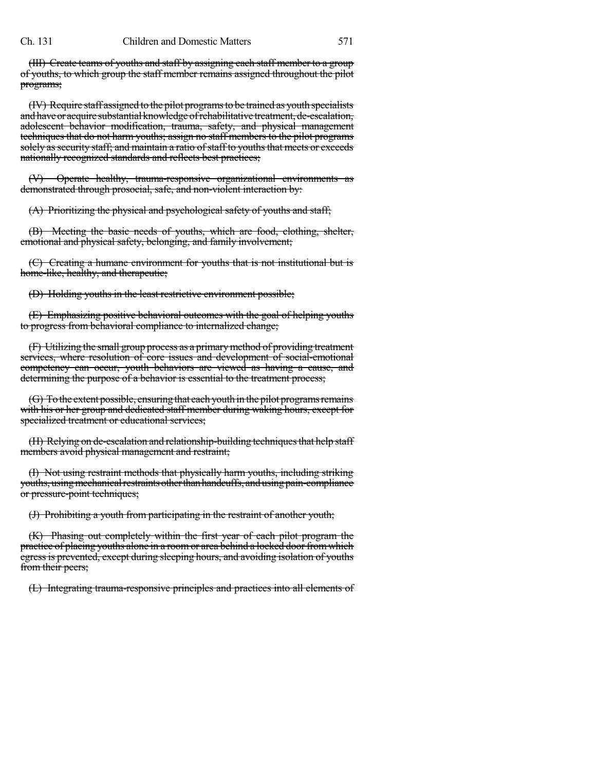(III) Create teams of youths and staff by assigning each staff member to a group of youths, to which group the staff member remains assigned throughout the pilot programs;

(IV) Require staff assigned to the pilot programsto be trained as youth specialists and have or acquire substantial knowledge of rehabilitative treatment, de-escalation, adolescent behavior modification, trauma, safety, and physical management techniques that do not harm youths; assign no staff members to the pilot programs solely as security staff; and maintain a ratio of staff to youths that meets or exceeds nationally recognized standards and reflects best practices;

(V) Operate healthy, trauma-responsive organizational environments as demonstrated through prosocial, safe, and non-violent interaction by:

(A) Prioritizing the physical and psychological safety of youths and staff;

(B) Meeting the basic needs of youths, which are food, clothing, shelter, emotional and physical safety, belonging, and family involvement;

(C) Creating a humane environment for youths that is not institutional but is home-like, healthy, and therapeutic;

(D) Holding youths in the least restrictive environment possible;

(E) Emphasizing positive behavioral outcomes with the goal of helping youths to progress from behavioral compliance to internalized change;

(F) Utilizing the small group process as a primarymethod of providing treatment services, where resolution of core issues and development of social-emotional competency can occur, youth behaviors are viewed as having a cause, and determining the purpose of a behavior is essential to the treatment process;

(G) To the extent possible, ensuring that each youth in the pilot programs remains with his or her group and dedicated staff member during waking hours, except for specialized treatment or educational services;

(H) Relying on de-escalation and relationship-building techniques that help staff members avoid physical management and restraint;

(I) Not using restraint methods that physically harm youths, including striking youths, using mechanical restraints other than handcuffs, and using pain-compliance or pressure-point techniques;

(J) Prohibiting a youth from participating in the restraint of another youth;

(K) Phasing out completely within the first year of each pilot program the practice of placing youths alone in a roomor area behind a locked doorfromwhich egress is prevented, except during sleeping hours, and avoiding isolation of youths from their peers;

(L) Integrating trauma-responsive principles and practices into all elements of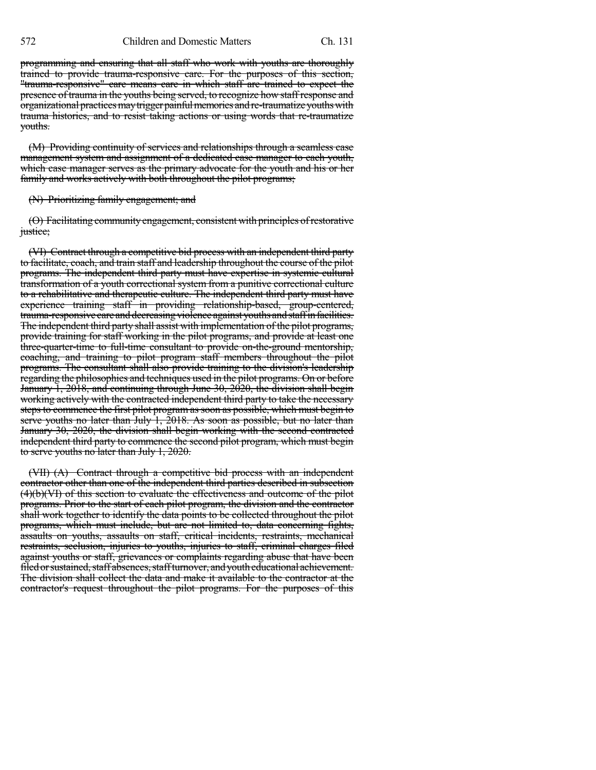572 Children and Domestic Matters Ch. 131

programming and ensuring that all staff who work with youths are thoroughly trained to provide trauma-responsive care. For the purposes of this section, "trauma-responsive" care means care in which staff are trained to expect the presence of trauma in the youths being served, to recognize how staff response and organizational practices may trigger painful memories and re-traumatize youths with trauma histories, and to resist taking actions or using words that re-traumatize youths.

(M) Providing continuity of services and relationships through a seamless case management system and assignment of a dedicated case manager to each youth, which case manager serves as the primary advocate for the youth and his or her family and works actively with both throughout the pilot programs;

## (N) Prioritizing family engagement; and

(O) Facilitating communityengagement, consistent with principles ofrestorative justice;

(VI) Contract through a competitive bid process with an independent third party to facilitate, coach, and train staff and leadership throughout the course of the pilot programs. The independent third party must have expertise in systemic cultural transformation of a youth correctional system from a punitive correctional culture to a rehabilitative and therapeutic culture. The independent third party must have experience training staff in providing relationship-based, group-centered, trauma-responsive care and decreasing violence against youths and staff in facilities. The independent third party shall assist with implementation of the pilot programs, provide training for staff working in the pilot programs, and provide at least one three-quarter-time to full-time consultant to provide on-the-ground mentorship, coaching, and training to pilot program staff members throughout the pilot programs. The consultant shall also provide training to the division's leadership regarding the philosophies and techniques used in the pilot programs. On or before January 1, 2018, and continuing through June 30, 2020, the division shall begin working actively with the contracted independent third party to take the necessary steps to commence the first pilot program as soon as possible, which must begin to serve youths no later than July 1, 2018. As soon as possible, but no later than January 30, 2020, the division shall begin working with the second contracted independent third party to commence the second pilot program, which must begin to serve youths no later than July 1, 2020.

(VII) (A) Contract through a competitive bid process with an independent contractor other than one of the independent third parties described in subsection (4)(b)(VI) of this section to evaluate the effectiveness and outcome of the pilot programs. Prior to the start of each pilot program, the division and the contractor shall work together to identify the data points to be collected throughout the pilot programs, which must include, but are not limited to, data concerning fights, assaults on youths, assaults on staff, critical incidents, restraints, mechanical restraints, seclusion, injuries to youths, injuries to staff, criminal charges filed against youths or staff, grievances or complaints regarding abuse that have been filed or sustained, staff absences, staff turnover, and youth educational achievement. The division shall collect the data and make it available to the contractor at the contractor's request throughout the pilot programs. For the purposes of this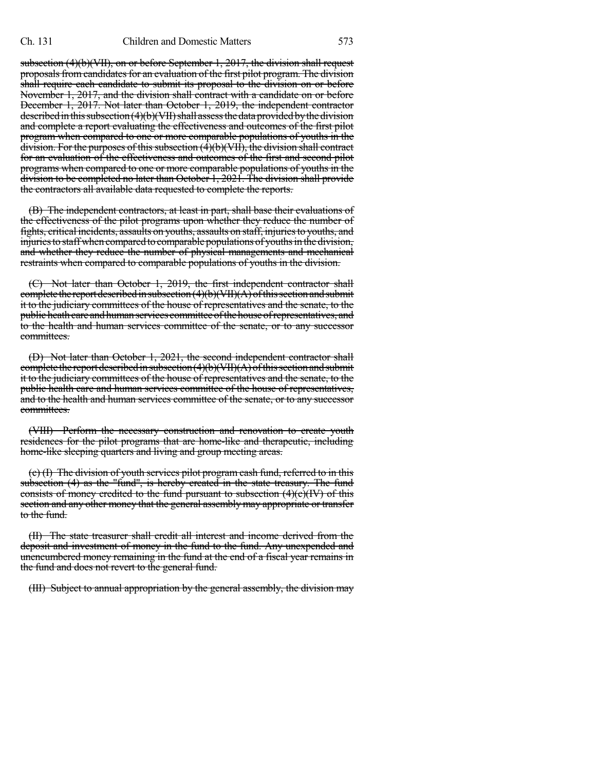subsection (4)(b)(VII), on or before September 1, 2017, the division shall request proposals from candidates for an evaluation of the first pilot program. The division shall require each candidate to submit its proposal to the division on or before November 1, 2017, and the division shall contract with a candidate on or before December 1, 2017. Not later than October 1, 2019, the independent contractor described in this subsection  $(4)(b)(VII)$  shall assess the data provided by the division and complete a report evaluating the effectiveness and outcomes of the first pilot program when compared to one or more comparable populations of youths in the division. For the purposes of this subsection  $(\overline{4})(b)(\overline{VII})$ , the division shall contract for an evaluation of the effectiveness and outcomes of the first and second pilot programs when compared to one or more comparable populations of youths in the division to be completed no later than October 1, 2021. The division shall provide the contractors all available data requested to complete the reports.

(B) The independent contractors, at least in part, shall base their evaluations of the effectiveness of the pilot programs upon whether they reduce the number of fights, critical incidents, assaults on youths, assaults on staff, injuriesto youths, and injuries to staff when compared to comparable populations of youths in the division, and whether they reduce the number of physical managements and mechanical restraints when compared to comparable populations of youths in the division.

(C) Not later than October 1, 2019, the first independent contractor shall complete the report described in subsection  $(4)(b)(VII)(A)$  of this section and submit it to the judiciary committees of the house of representatives and the senate, to the public heath care and human services committee of the house of representatives, and to the health and human services committee of the senate, or to any successor committees.

(D) Not later than October 1, 2021, the second independent contractor shall complete the report described in subsection  $(4)(b)(VII)(A)$  of this section and submit it to the judiciary committees of the house of representatives and the senate, to the public health care and human services committee of the house of representatives, and to the health and human services committee of the senate, or to any successor committees.

(VIII) Perform the necessary construction and renovation to create youth residences for the pilot programs that are home-like and therapeutic, including home-like sleeping quarters and living and group meeting areas.

(c) (I) The division of youth services pilot program cash fund, referred to in this subsection (4) as the "fund", is hereby created in the state treasury. The fund consists of money credited to the fund pursuant to subsection  $(4)(c)(*IV*)$  of this section and any other money that the general assembly may appropriate or transfer to the fund.

(II) The state treasurer shall credit all interest and income derived from the deposit and investment of money in the fund to the fund. Any unexpended and unencumbered money remaining in the fund at the end of a fiscal year remains in the fund and does not revert to the general fund.

(III) Subject to annual appropriation by the general assembly, the division may